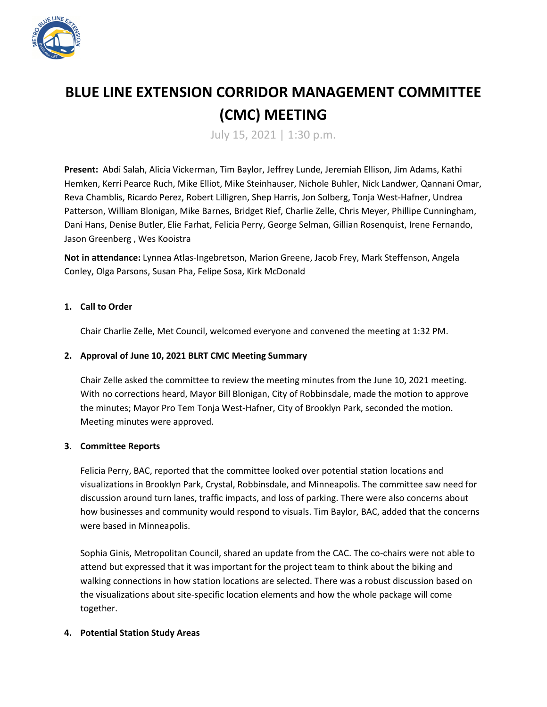

# **BLUE LINE EXTENSION CORRIDOR MANAGEMENT COMMITTEE (CMC) MEETING**

July 15, 2021 | 1:30 p.m.

**Present:** Abdi Salah, Alicia Vickerman, Tim Baylor, Jeffrey Lunde, Jeremiah Ellison, Jim Adams, Kathi Hemken, Kerri Pearce Ruch, Mike Elliot, Mike Steinhauser, Nichole Buhler, Nick Landwer, Qannani Omar, Reva Chamblis, Ricardo Perez, Robert Lilligren, Shep Harris, Jon Solberg, Tonja West-Hafner, Undrea Patterson, William Blonigan, Mike Barnes, Bridget Rief, Charlie Zelle, Chris Meyer, Phillipe Cunningham, Dani Hans, Denise Butler, Elie Farhat, Felicia Perry, George Selman, Gillian Rosenquist, Irene Fernando, Jason Greenberg , Wes Kooistra

**Not in attendance:** Lynnea Atlas-Ingebretson, Marion Greene, Jacob Frey, Mark Steffenson, Angela Conley, Olga Parsons, Susan Pha, Felipe Sosa, Kirk McDonald

## **1. Call to Order**

Chair Charlie Zelle, Met Council, welcomed everyone and convened the meeting at 1:32 PM.

### **2. Approval of June 10, 2021 BLRT CMC Meeting Summary**

Chair Zelle asked the committee to review the meeting minutes from the June 10, 2021 meeting. With no corrections heard, Mayor Bill Blonigan, City of Robbinsdale, made the motion to approve the minutes; Mayor Pro Tem Tonja West-Hafner, City of Brooklyn Park, seconded the motion. Meeting minutes were approved.

#### **3. Committee Reports**

Felicia Perry, BAC, reported that the committee looked over potential station locations and visualizations in Brooklyn Park, Crystal, Robbinsdale, and Minneapolis. The committee saw need for discussion around turn lanes, traffic impacts, and loss of parking. There were also concerns about how businesses and community would respond to visuals. Tim Baylor, BAC, added that the concerns were based in Minneapolis.

Sophia Ginis, Metropolitan Council, shared an update from the CAC. The co-chairs were not able to attend but expressed that it was important for the project team to think about the biking and walking connections in how station locations are selected. There was a robust discussion based on the visualizations about site-specific location elements and how the whole package will come together.

#### **4. Potential Station Study Areas**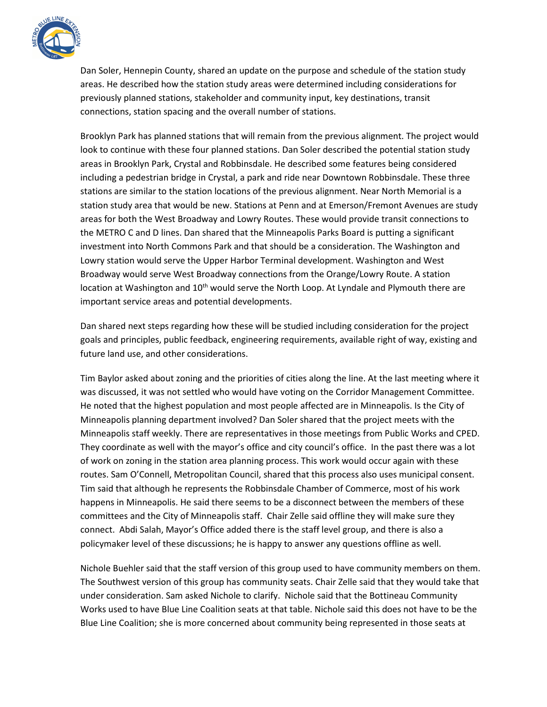

Dan Soler, Hennepin County, shared an update on the purpose and schedule of the station study areas. He described how the station study areas were determined including considerations for previously planned stations, stakeholder and community input, key destinations, transit connections, station spacing and the overall number of stations.

Brooklyn Park has planned stations that will remain from the previous alignment. The project would look to continue with these four planned stations. Dan Soler described the potential station study areas in Brooklyn Park, Crystal and Robbinsdale. He described some features being considered including a pedestrian bridge in Crystal, a park and ride near Downtown Robbinsdale. These three stations are similar to the station locations of the previous alignment. Near North Memorial is a station study area that would be new. Stations at Penn and at Emerson/Fremont Avenues are study areas for both the West Broadway and Lowry Routes. These would provide transit connections to the METRO C and D lines. Dan shared that the Minneapolis Parks Board is putting a significant investment into North Commons Park and that should be a consideration. The Washington and Lowry station would serve the Upper Harbor Terminal development. Washington and West Broadway would serve West Broadway connections from the Orange/Lowry Route. A station location at Washington and 10<sup>th</sup> would serve the North Loop. At Lyndale and Plymouth there are important service areas and potential developments.

Dan shared next steps regarding how these will be studied including consideration for the project goals and principles, public feedback, engineering requirements, available right of way, existing and future land use, and other considerations.

Tim Baylor asked about zoning and the priorities of cities along the line. At the last meeting where it was discussed, it was not settled who would have voting on the Corridor Management Committee. He noted that the highest population and most people affected are in Minneapolis. Is the City of Minneapolis planning department involved? Dan Soler shared that the project meets with the Minneapolis staff weekly. There are representatives in those meetings from Public Works and CPED. They coordinate as well with the mayor's office and city council's office. In the past there was a lot of work on zoning in the station area planning process. This work would occur again with these routes. Sam O'Connell, Metropolitan Council, shared that this process also uses municipal consent. Tim said that although he represents the Robbinsdale Chamber of Commerce, most of his work happens in Minneapolis. He said there seems to be a disconnect between the members of these committees and the City of Minneapolis staff. Chair Zelle said offline they will make sure they connect. Abdi Salah, Mayor's Office added there is the staff level group, and there is also a policymaker level of these discussions; he is happy to answer any questions offline as well.

Nichole Buehler said that the staff version of this group used to have community members on them. The Southwest version of this group has community seats. Chair Zelle said that they would take that under consideration. Sam asked Nichole to clarify. Nichole said that the Bottineau Community Works used to have Blue Line Coalition seats at that table. Nichole said this does not have to be the Blue Line Coalition; she is more concerned about community being represented in those seats at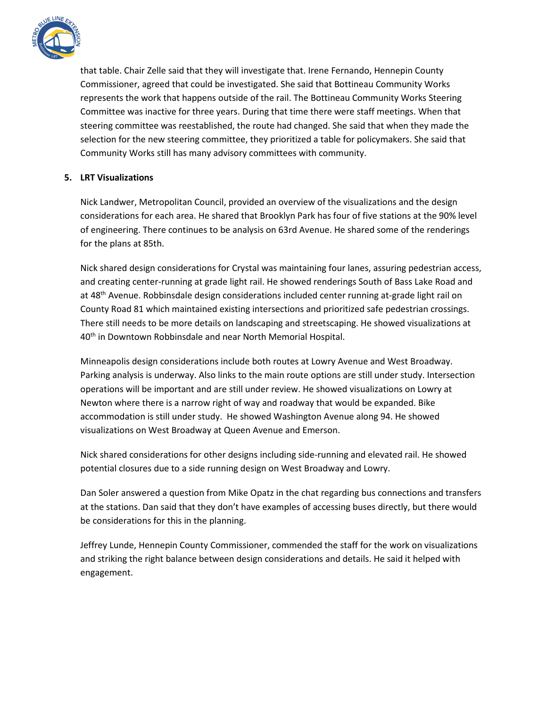

that table. Chair Zelle said that they will investigate that. Irene Fernando, Hennepin County Commissioner, agreed that could be investigated. She said that Bottineau Community Works represents the work that happens outside of the rail. The Bottineau Community Works Steering Committee was inactive for three years. During that time there were staff meetings. When that steering committee was reestablished, the route had changed. She said that when they made the selection for the new steering committee, they prioritized a table for policymakers. She said that Community Works still has many advisory committees with community.

## **5. LRT Visualizations**

Nick Landwer, Metropolitan Council, provided an overview of the visualizations and the design considerations for each area. He shared that Brooklyn Park has four of five stations at the 90% level of engineering. There continues to be analysis on 63rd Avenue. He shared some of the renderings for the plans at 85th.

Nick shared design considerations for Crystal was maintaining four lanes, assuring pedestrian access, and creating center-running at grade light rail. He showed renderings South of Bass Lake Road and at 48<sup>th</sup> Avenue. Robbinsdale design considerations included center running at-grade light rail on County Road 81 which maintained existing intersections and prioritized safe pedestrian crossings. There still needs to be more details on landscaping and streetscaping. He showed visualizations at 40<sup>th</sup> in Downtown Robbinsdale and near North Memorial Hospital.

Minneapolis design considerations include both routes at Lowry Avenue and West Broadway. Parking analysis is underway. Also links to the main route options are still under study. Intersection operations will be important and are still under review. He showed visualizations on Lowry at Newton where there is a narrow right of way and roadway that would be expanded. Bike accommodation is still under study. He showed Washington Avenue along 94. He showed visualizations on West Broadway at Queen Avenue and Emerson.

Nick shared considerations for other designs including side-running and elevated rail. He showed potential closures due to a side running design on West Broadway and Lowry.

Dan Soler answered a question from Mike Opatz in the chat regarding bus connections and transfers at the stations. Dan said that they don't have examples of accessing buses directly, but there would be considerations for this in the planning.

Jeffrey Lunde, Hennepin County Commissioner, commended the staff for the work on visualizations and striking the right balance between design considerations and details. He said it helped with engagement.